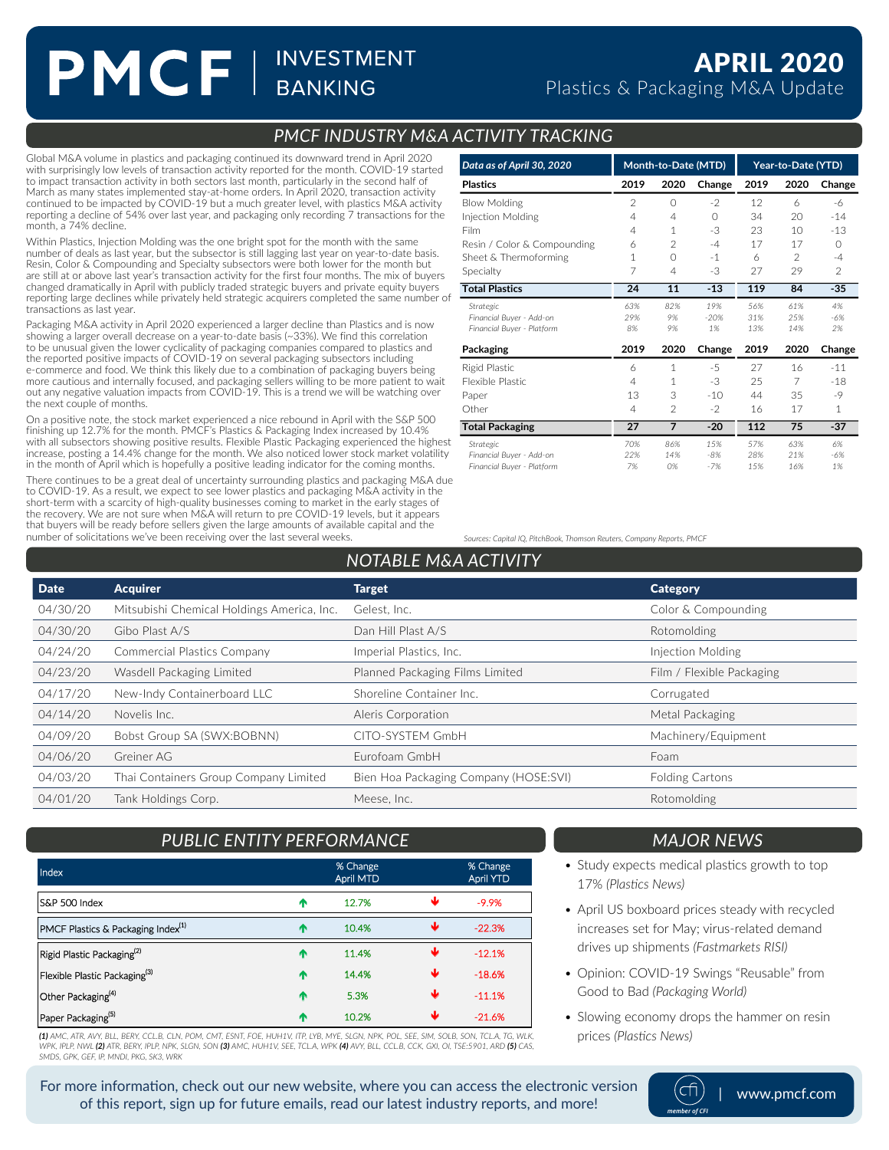# PMCF | INVESTMENT

### *PMCF INDUSTRY M&A ACTIVITY TRACKING*

Global M&A volume in plastics and packaging continued its downward trend in April 2020 with surprisingly low levels of transaction activity reported for the month. COVID-19 started to impact transaction activity in both sectors last month, particularly in the second half of March as many states implemented stay-at-home orders. In April 2020, transaction activity continued to be impacted by COVID-19 but a much greater level, with plastics M&A activity reporting a decline of 54% over last year, and packaging only recording 7 transactions for the month, a 74% decline.

Within Plastics, Injection Molding was the one bright spot for the month with the same number of deals as last year, but the subsector is still lagging last year on year-to-date basis. Resin, Color & Compounding and Specialty subsectors were both lower for the month but are still at or above last year's transaction activity for the first four months. The mix of buyers changed dramatically in April with publicly traded strategic buyers and private equity buyers reporting large declines while privately held strategic acquirers completed the same number of transactions as last year.

Packaging M&A activity in April 2020 experienced a larger decline than Plastics and is now showing a larger overall decrease on a year-to-date basis (~33%). We find this correlation to be unusual given the lower cyclicality of packaging companies compared to plastics and the reported positive impacts of COVID-19 on several packaging subsectors including e-commerce and food. We think this likely due to a combination of packaging buyers being more cautious and internally focused, and packaging sellers willing to be more patient to wait out any negative valuation impacts from COVID-19. This is a trend we will be watching over the next couple of months.

On a positive note, the stock market experienced a nice rebound in April with the S&P 500<br>finishing up 12.7% for the month. PMCF's Plastics & Packaging Index increased by 10.4%<br>with all subsectors showing positive results. increase, posting a 14.4% change for the month. We also noticed lower stock market volatility in the month of April which is hopefully a positive leading indicator for the coming months.

There continues to be a great deal of uncertainty surrounding plastics and packaging M&A due to COVID-19. As a result, we expect to see lower plastics and packaging M&A activity in the short-term with a scarcity of high-quality businesses coming to market in the early stages of the recovery. We are not sure when M&A will return to pre COVID-19 levels, but it appears that buyers will be ready before sellers given the large amounts of available capital and the number of solicitations we've been receiving over the last several weeks. *Sources: Capital IQ, PitchBook, Thomson Reuters, Company Reports, PMCF*

| Data as of April 30, 2020   | Month-to-Date (MTD) |                | Year-to-Date (YTD) |      |                 |               |
|-----------------------------|---------------------|----------------|--------------------|------|-----------------|---------------|
| <b>Plastics</b>             | 2019                | 2020           | Change             | 2019 | 2020            | Change        |
| <b>Blow Molding</b>         | $\mathfrak{D}$      | $\bigcirc$     | $-2$               | 12   | 6               | -6            |
| Injection Molding           | 4                   | 4              | $\bigcap$          | 34   | 20              | $-14$         |
| Film                        | 4                   | 1              | -3                 | 23   | 10 <sup>2</sup> | $-13$         |
| Resin / Color & Compounding | 6                   | $\overline{2}$ | $-4$               | 17   | 17              | $\Omega$      |
| Sheet & Thermoforming       | 1                   | $\bigcap$      | $-1$               | 6    | $\mathfrak{D}$  | $-4$          |
| Specialty                   | 7                   | 4              | -3                 | 27   | 29              | $\mathcal{P}$ |
| <b>Total Plastics</b>       | 24                  | 11             | $-13$              | 119  | 84              | $-35$         |
| Strategic                   | 63%                 | 82%            | 19%                | 56%  | 61%             | 4%            |
| Financial Buyer - Add-on    | 29%                 | 9%             | $-20%$             | 31%  | 25%             | $-6%$         |
| Financial Buyer - Platform  | 8%                  | 9%             | 1%                 | 13%  | 14%             | 2%            |
| Packaging                   | 2019                | 2020           | Change             | 2019 | 2020            | Change        |
| Rigid Plastic               | 6                   | 1              | $-5$               | 27   | 16              | $-11$         |
| Flexible Plastic            | 4                   | 1              | -3                 | 25   | 7               | $-18$         |
| Paper                       | 13                  | 3              | $-10$              | 44   | 35              | $-9$          |
| Other                       | 4                   | $\mathfrak{D}$ | $-2$               | 16   | 17              | 1             |
| <b>Total Packaging</b>      | 27                  | $\overline{7}$ | $-20$              | 112  | 75              | $-37$         |
| Strategic                   | 70%                 | 86%            | 15%                | 57%  | 63%             | 6%            |
| Financial Buyer - Add-on    | 22%                 | 14%            | $-8%$              | 28%  | 21%             | $-6%$         |

Financial Buyer - Platform 7% 0% -7% 15% 16% 1%

## *NOTABLE M&A ACTIVITY*

| <b>Date</b> | <b>Acquirer</b>                            | <b>Target</b>                         | <b>Category</b>           |
|-------------|--------------------------------------------|---------------------------------------|---------------------------|
| 04/30/20    | Mitsubishi Chemical Holdings America, Inc. | Gelest, Inc.                          | Color & Compounding       |
| 04/30/20    | Gibo Plast A/S                             | Dan Hill Plast A/S                    | Rotomolding               |
| 04/24/20    | Commercial Plastics Company                | Imperial Plastics, Inc.               | Injection Molding         |
| 04/23/20    | Wasdell Packaging Limited                  | Planned Packaging Films Limited       | Film / Flexible Packaging |
| 04/17/20    | New-Indy Containerboard LLC                | Shoreline Container Inc.              | Corrugated                |
| 04/14/20    | Novelis Inc.                               | Aleris Corporation                    | Metal Packaging           |
| 04/09/20    | Bobst Group SA (SWX:BOBNN)                 | CITO-SYSTEM GmbH                      | Machinery/Equipment       |
| 04/06/20    | Greiner AG                                 | Eurofoam GmbH                         | Foam                      |
| 04/03/20    | Thai Containers Group Company Limited      | Bien Hoa Packaging Company (HOSE:SVI) | <b>Folding Cartons</b>    |
| 04/01/20    | Tank Holdings Corp.                        | Meese, Inc.                           | Rotomolding               |

## *PUBLIC ENTITY PERFORMANCE*

| <b>Index</b>                                   |   | % Change<br><b>April MTD</b> |   | % Change<br>April YTD |
|------------------------------------------------|---|------------------------------|---|-----------------------|
| IS&P 500 Index                                 | æ | 12.7%                        | ₩ | $-9.9%$               |
| PMCF Plastics & Packaging Index <sup>(1)</sup> | ^ | 10.4%                        | ш | $-22.3%$              |
| Rigid Plastic Packaging <sup>(2)</sup>         | œ | 11.4%                        | Ψ | $-12.1%$              |
| Flexible Plastic Packaging <sup>(3)</sup>      | æ | 14.4%                        | Ψ | $-18.6%$              |
| Other Packaging <sup>(4)</sup>                 | Φ | 5.3%                         | Ψ | $-11.1%$              |
| Paper Packaging <sup>(5)</sup>                 | œ | 10.2%                        | ₩ | $-21.6%$              |

**(1)** AMC, ATR, AVY, BLL, BERY, CCL.B, CLN, POM, CMT, ESNT, FOE, HUH1V, ITP, LYB, MYE, SLGN, NPK, POL, SEE, SIM, SOLB, SON, TCL.A, TG, WLK, WPK, IPLP, NWL **(2)** ATR, BERY, IPLP, NPK, SLGN, SON **(3)** AMC, HUH1V, SEE, TCL.A, WPK **(4)** AVY, BLL, CCL.B, CCK, GXI, OI, TSE:5901, ARD **(5)** CAS, *SK3, WRK SMDS, GPK, GEF, IP, MNDI, PKG, SK3, WRK*

#### *MAJOR NEWS*

- Study expects medical plastics growth to top 17% *(Plastics News)*
- April US boxboard prices steady with recycled increases set for May; virus-related demand drives up shipments *(Fastmarkets RISI)*
- Opinion: COVID-19 Swings "Reusable" from Good to Bad *(Packaging World)*
- Slowing economy drops the hammer on resin prices *(Plastics News)*



| www.pmcf.com

For more information, check out our new website, where you can access the electronic version of this report, sign up for future emails, read our latest industry reports, and more!